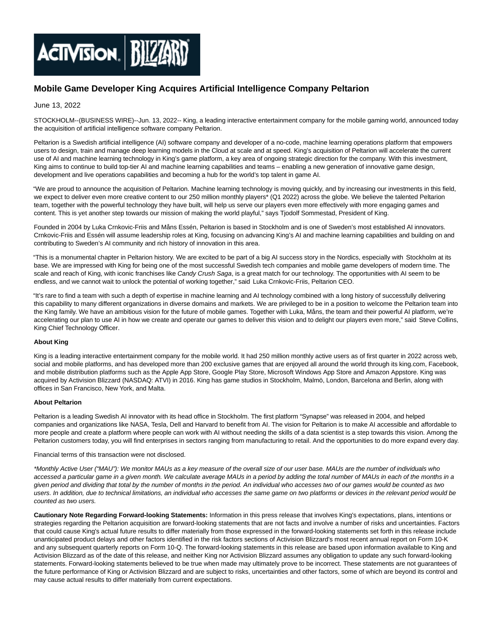

## **Mobile Game Developer King Acquires Artificial Intelligence Company Peltarion**

## June 13, 2022

STOCKHOLM--(BUSINESS WIRE)--Jun. 13, 2022-- King, a leading interactive entertainment company for the mobile gaming world, announced today the acquisition of artificial intelligence software company Peltarion.

Peltarion is a Swedish artificial intelligence (AI) software company and developer of a no-code, machine learning operations platform that empowers users to design, train and manage deep learning models in the Cloud at scale and at speed. King's acquisition of Peltarion will accelerate the current use of AI and machine learning technology in King's game platform, a key area of ongoing strategic direction for the company. With this investment, King aims to continue to build top-tier AI and machine learning capabilities and teams – enabling a new generation of innovative game design, development and live operations capabilities and becoming a hub for the world's top talent in game AI.

"We are proud to announce the acquisition of Peltarion. Machine learning technology is moving quickly, and by increasing our investments in this field, we expect to deliver even more creative content to our 250 million monthly players\* (Q1 2022) across the globe. We believe the talented Peltarion team, together with the powerful technology they have built, will help us serve our players even more effectively with more engaging games and content. This is yet another step towards our mission of making the world playful," says Tjodolf Sommestad, President of King.

Founded in 2004 by Luka Crnkovic-Friis and Måns Essén, Peltarion is based in Stockholm and is one of Sweden's most established AI innovators. Crnkovic-Friis and Essén will assume leadership roles at King, focusing on advancing King's AI and machine learning capabilities and building on and contributing to Sweden's AI community and rich history of innovation in this area.

"This is a monumental chapter in Peltarion history. We are excited to be part of a big AI success story in the Nordics, especially with Stockholm at its base. We are impressed with King for being one of the most successful Swedish tech companies and mobile game developers of modern time. The scale and reach of King, with iconic franchises like Candy Crush Saga, is a great match for our technology. The opportunities with AI seem to be endless, and we cannot wait to unlock the potential of working together," said Luka Crnkovic-Friis, Peltarion CEO.

"It's rare to find a team with such a depth of expertise in machine learning and AI technology combined with a long history of successfully delivering this capability to many different organizations in diverse domains and markets. We are privileged to be in a position to welcome the Peltarion team into the King family. We have an ambitious vision for the future of mobile games. Together with Luka, Måns, the team and their powerful AI platform, we're accelerating our plan to use AI in how we create and operate our games to deliver this vision and to delight our players even more," said Steve Collins, King Chief Technology Officer.

## **About King**

King is a leading interactive entertainment company for the mobile world. It had 250 million monthly active users as of first quarter in 2022 across web, social and mobile platforms, and has developed more than 200 exclusive games that are enjoyed all around the world through its king.com, Facebook, and mobile distribution platforms such as the Apple App Store, Google Play Store, Microsoft Windows App Store and Amazon Appstore. King was acquired by Activision Blizzard (NASDAQ: ATVI) in 2016. King has game studios in Stockholm, Malmö, London, Barcelona and Berlin, along with offices in San Francisco, New York, and Malta.

## **About Peltarion**

Peltarion is a leading Swedish AI innovator with its head office in Stockholm. The first platform "Synapse" was released in 2004, and helped companies and organizations like NASA, Tesla, Dell and Harvard to benefit from AI. The vision for Peltarion is to make AI accessible and affordable to more people and create a platform where people can work with AI without needing the skills of a data scientist is a step towards this vision. Among the Peltarion customers today, you will find enterprises in sectors ranging from manufacturing to retail. And the opportunities to do more expand every day.

Financial terms of this transaction were not disclosed.

\*Monthly Active User ("MAU"): We monitor MAUs as a key measure of the overall size of our user base. MAUs are the number of individuals who accessed a particular game in a given month. We calculate average MAUs in a period by adding the total number of MAUs in each of the months in a given period and dividing that total by the number of months in the period. An individual who accesses two of our games would be counted as two users. In addition, due to technical limitations, an individual who accesses the same game on two platforms or devices in the relevant period would be counted as two users.

**Cautionary Note Regarding Forward-looking Statements:** Information in this press release that involves King's expectations, plans, intentions or strategies regarding the Peltarion acquisition are forward-looking statements that are not facts and involve a number of risks and uncertainties. Factors that could cause King's actual future results to differ materially from those expressed in the forward-looking statements set forth in this release include unanticipated product delays and other factors identified in the risk factors sections of Activision Blizzard's most recent annual report on Form 10-K and any subsequent quarterly reports on Form 10-Q. The forward-looking statements in this release are based upon information available to King and Activision Blizzard as of the date of this release, and neither King nor Activision Blizzard assumes any obligation to update any such forward-looking statements. Forward-looking statements believed to be true when made may ultimately prove to be incorrect. These statements are not guarantees of the future performance of King or Activision Blizzard and are subject to risks, uncertainties and other factors, some of which are beyond its control and may cause actual results to differ materially from current expectations.